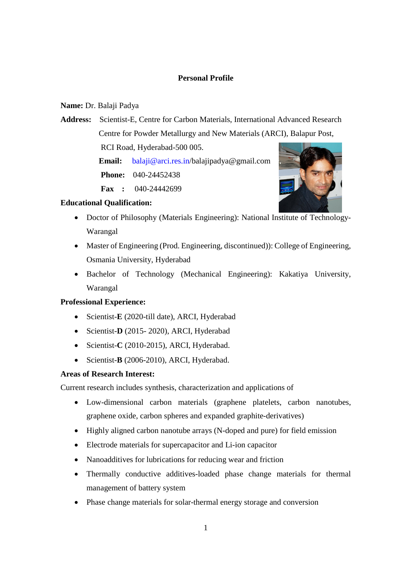# **Personal Profile**

# **Name:** Dr. Balaji Padya

**Address:** Scientist-E, Centre for Carbon Materials, International Advanced Research Centre for Powder Metallurgy and New Materials (ARCI), Balapur Post,

RCI Road, Hyderabad-500 005.

 **Email:** balaji@arci.res.in/balajipadya@gmail.com  **Phone:** 040-24452438

 **Fax :** 040-24442699



#### **Educational Qualification:**

- Doctor of Philosophy (Materials Engineering): National Institute of Technology-Warangal
- Master of Engineering (Prod. Engineering, discontinued)): College of Engineering, Osmania University, Hyderabad
- Bachelor of Technology (Mechanical Engineering): Kakatiya University, Warangal

# **Professional Experience:**

- Scientist-**E** (2020-till date), ARCI, Hyderabad
- Scientist-**D** (2015- 2020), ARCI, Hyderabad
- Scientist-**C** (2010-2015), ARCI, Hyderabad.
- Scientist-**B** (2006-2010), ARCI, Hyderabad.

# **Areas of Research Interest:**

Current research includes synthesis, characterization and applications of

- Low-dimensional carbon materials (graphene platelets, carbon nanotubes, graphene oxide, carbon spheres and expanded graphite-derivatives)
- Highly aligned carbon nanotube arrays (N-doped and pure) for field emission
- Electrode materials for supercapacitor and Li-ion capacitor
- Nanoadditives for lubrications for reducing wear and friction
- Thermally conductive additives-loaded phase change materials for thermal management of battery system
- Phase change materials for solar-thermal energy storage and conversion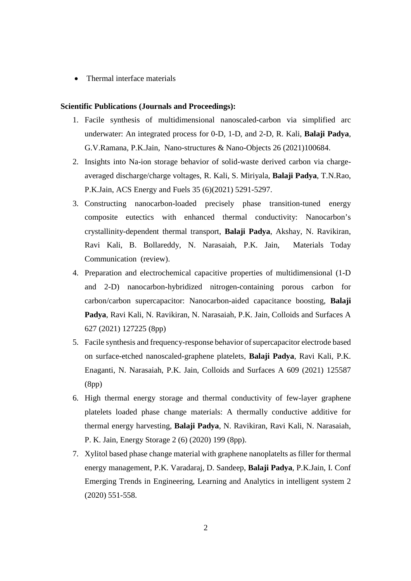Thermal interface materials

#### **Scientific Publications (Journals and Proceedings):**

- 1. Facile synthesis of multidimensional nanoscaled-carbon via simplified arc underwater: An integrated process for 0-D, 1-D, and 2-D, R. Kali, **Balaji Padya**, G.V.Ramana, P.K.Jain, Nano-structures & Nano-Objects 26 (2021)100684.
- 2. Insights into Na-ion storage behavior of solid-waste derived carbon via chargeaveraged discharge/charge voltages, R. Kali, S. Miriyala, **Balaji Padya**, T.N.Rao, P.K.Jain, ACS Energy and Fuels 35 (6)(2021) 5291-5297.
- 3. Constructing nanocarbon-loaded precisely phase transition-tuned energy composite eutectics with enhanced thermal conductivity: Nanocarbon's crystallinity-dependent thermal transport, **Balaji Padya**, Akshay, N. Ravikiran, Ravi Kali, B. Bollareddy, N. Narasaiah, P.K. Jain, Materials Today Communication (review).
- 4. Preparation and electrochemical capacitive properties of multidimensional (1-D and 2-D) nanocarbon-hybridized nitrogen-containing porous carbon for carbon/carbon supercapacitor: Nanocarbon-aided capacitance boosting, **Balaji Padya**, Ravi Kali, N. Ravikiran, N. Narasaiah, P.K. Jain, Colloids and Surfaces A 627 (2021) 127225 (8pp)
- 5. Facile synthesis and frequency-response behavior of supercapacitor electrode based on surface-etched nanoscaled-graphene platelets, **Balaji Padya**, Ravi Kali, P.K. Enaganti, N. Narasaiah, P.K. Jain, Colloids and Surfaces A 609 (2021) 125587 (8pp)
- 6. High thermal energy storage and thermal conductivity of few-layer graphene platelets loaded phase change materials: A thermally conductive additive for thermal energy harvesting, **Balaji Padya**, N. Ravikiran, Ravi Kali, N. Narasaiah, P. K. Jain, Energy Storage 2 (6) (2020) 199 (8pp).
- 7. Xylitol based phase change material with graphene nanoplatelts as filler for thermal energy management, P.K. Varadaraj, D. Sandeep, **Balaji Padya**, P.K.Jain, I. Conf Emerging Trends in Engineering, Learning and Analytics in intelligent system 2 (2020) 551-558.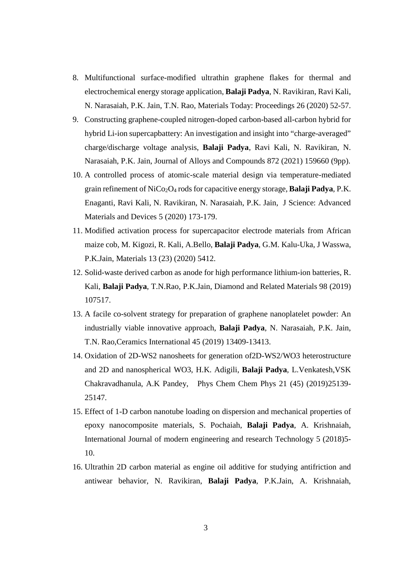- 8. Multifunctional surface-modified ultrathin graphene flakes for thermal and electrochemical energy storage application, **Balaji Padya**, N. Ravikiran, Ravi Kali, N. Narasaiah, P.K. Jain, T.N. Rao, Materials Today: Proceedings 26 (2020) 52-57.
- 9. Constructing graphene-coupled nitrogen-doped carbon-based all-carbon hybrid for hybrid Li-ion supercapbattery: An investigation and insight into "charge-averaged" charge/discharge voltage analysis, **Balaji Padya**, Ravi Kali, N. Ravikiran, N. Narasaiah, P.K. Jain, Journal of Alloys and Compounds 872 (2021) 159660 (9pp).
- 10. A controlled process of atomic-scale material design via temperature-mediated grain refinement of NiCo2O<sup>4</sup> rods for capacitive energy storage, **Balaji Padya**, P.K. Enaganti, Ravi Kali, N. Ravikiran, N. Narasaiah, P.K. Jain, J Science: Advanced Materials and Devices 5 (2020) 173-179.
- 11. Modified activation process for supercapacitor electrode materials from African maize cob, M. Kigozi, R. Kali, A.Bello, **Balaji Padya**, G.M. Kalu-Uka, J Wasswa, P.K.Jain, Materials 13 (23) (2020) 5412.
- 12. Solid-waste derived carbon as anode for high performance lithium-ion batteries, R. Kali, **Balaji Padya**, T.N.Rao, P.K.Jain, Diamond and Related Materials 98 (2019) 107517.
- 13. A facile co-solvent strategy for preparation of graphene nanoplatelet powder: An industrially viable innovative approach, **Balaji Padya**, N. Narasaiah, P.K. Jain, T.N. Rao,Ceramics International 45 (2019) 13409-13413.
- 14. Oxidation of 2D-WS2 nanosheets for generation of2D-WS2/WO3 heterostructure and 2D and nanospherical WO3, H.K. Adigili, **Balaji Padya**, L.Venkatesh,VSK Chakravadhanula, A.K Pandey, Phys Chem Chem Phys 21 (45) (2019)25139- 25147.
- 15. Effect of 1-D carbon nanotube loading on dispersion and mechanical properties of epoxy nanocomposite materials, S. Pochaiah, **Balaji Padya**, A. Krishnaiah, International Journal of modern engineering and research Technology 5 (2018)5- 10.
- 16. Ultrathin 2D carbon material as engine oil additive for studying antifriction and antiwear behavior, N. Ravikiran, **Balaji Padya**, P.K.Jain, A. Krishnaiah,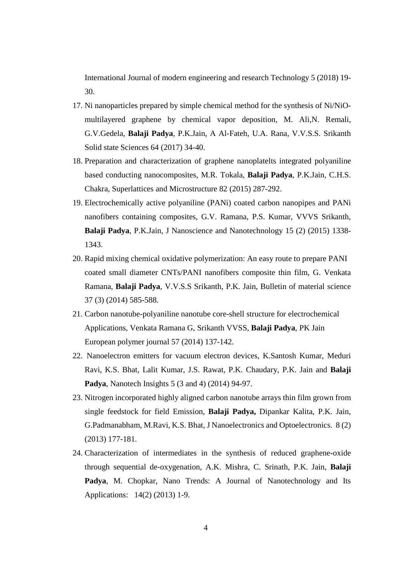International Journal of modern engineering and research Technology 5 (2018) 19- 30.

- 17. Ni nanoparticles prepared by simple chemical method for the synthesis of Ni/NiOmultilayered graphene by chemical vapor deposition, M. Ali,N. Remali, G.V.Gedela, **Balaji Padya**, P.K.Jain, A Al-Fateh, U.A. Rana, V.V.S.S. Srikanth Solid state Sciences 64 (2017) 34-40.
- 18. Preparation and characterization of graphene nanoplatelts integrated polyaniline based conducting nanocomposites, M.R. Tokala, **Balaji Padya**, P.K.Jain, C.H.S. Chakra, Superlattices and Microstructure 82 (2015) 287-292.
- 19. Electrochemically active polyaniline (PANi) coated carbon nanopipes and PANi nanofibers containing composites, G.V. Ramana, P.S. Kumar, VVVS Srikanth, **Balaji Padya**, P.K.Jain, J Nanoscience and Nanotechnology 15 (2) (2015) 1338- 1343.
- 20. Rapid mixing chemical oxidative polymerization: An easy route to prepare PANI coated small diameter CNTs/PANI nanofibers composite thin film, G. Venkata Ramana, **Balaji Padya**, V.V.S.S Srikanth, P.K. Jain, Bulletin of material science 37 (3) (2014) 585-588.
- 21. Carbon nanotube-polyaniline nanotube core-shell structure for electrochemical Applications, Venkata Ramana G, Srikanth VVSS, **Balaji Padya**, PK Jain European polymer journal 57 (2014) 137-142.
- 22. Nanoelectron emitters for vacuum electron devices, K.Santosh Kumar, Meduri Ravi, K.S. Bhat, Lalit Kumar, J.S. Rawat, P.K. Chaudary, P.K. Jain and **Balaji Padya**, Nanotech Insights 5 (3 and 4) (2014) 94-97.
- 23. Nitrogen incorporated highly aligned carbon nanotube arrays thin film grown from single feedstock for field Emission, **Balaji Padya,** Dipankar Kalita, P.K. Jain, G.Padmanabham, M.Ravi, K.S. Bhat, J Nanoelectronics and Optoelectronics. 8 (2) (2013) 177-181.
- 24. Characterization of intermediates in the synthesis of reduced graphene-oxide through sequential de-oxygenation, A.K. Mishra, C. Srinath, P.K. Jain, **Balaji** Padya, M. Chopkar, Nano Trends: A Journal of Nanotechnology and Its Applications: 14(2) (2013) 1-9.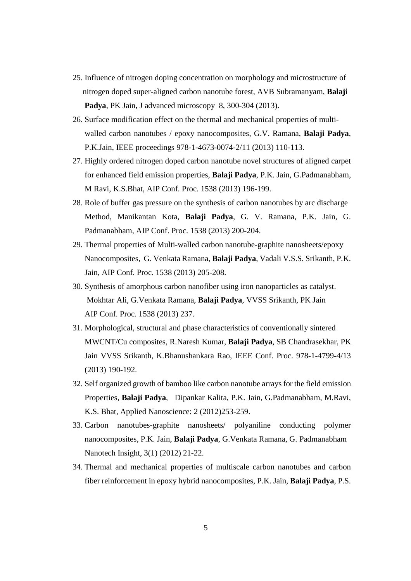- 25. Influence of nitrogen doping concentration on morphology and microstructure of nitrogen doped super-aligned carbon nanotube forest, AVB Subramanyam, **Balaji Padya**, PK Jain, J advanced microscopy 8, 300-304 (2013).
- 26. Surface modification effect on the thermal and mechanical properties of multiwalled carbon nanotubes / epoxy nanocomposites, G.V. Ramana, **Balaji Padya**, P.K.Jain, IEEE proceedings 978-1-4673-0074-2/11 (2013) 110-113.
- 27. Highly ordered nitrogen doped carbon nanotube novel structures of aligned carpet for enhanced field emission properties, **Balaji Padya**, P.K. Jain, G.Padmanabham, M Ravi, K.S.Bhat, AIP Conf. Proc. 1538 (2013) 196-199.
- 28. Role of buffer gas pressure on the synthesis of carbon nanotubes by arc discharge Method, Manikantan Kota, **Balaji Padya**, G. V. Ramana, P.K. Jain, G. Padmanabham, AIP Conf. Proc. 1538 (2013) 200-204.
- 29. Thermal properties of Multi-walled carbon nanotube-graphite nanosheets/epoxy Nanocomposites, G. Venkata Ramana, **Balaji Padya**, Vadali V.S.S. Srikanth, P.K. Jain, AIP Conf. Proc. 1538 (2013) 205-208.
- 30. Synthesis of amorphous carbon nanofiber using iron nanoparticles as catalyst. Mokhtar Ali, G.Venkata Ramana, **Balaji Padya**, VVSS Srikanth, PK Jain AIP Conf. Proc. 1538 (2013) 237.
- 31. Morphological, structural and phase characteristics of conventionally sintered MWCNT/Cu composites, R.Naresh Kumar, **Balaji Padya**, SB Chandrasekhar, PK Jain VVSS Srikanth, K.Bhanushankara Rao, IEEE Conf. Proc. 978-1-4799-4/13 (2013) 190-192.
- 32. Self organized growth of bamboo like carbon nanotube arrays for the field emission Properties, **Balaji Padya**, Dipankar Kalita, P.K. Jain, G.Padmanabham, M.Ravi, K.S. Bhat, Applied Nanoscience: 2 (2012)253-259.
- 33. Carbon nanotubes-graphite nanosheets/ polyaniline conducting polymer nanocomposites, P.K. Jain, **Balaji Padya**, G.Venkata Ramana, G. Padmanabham Nanotech Insight, 3(1) (2012) 21-22.
- 34. Thermal and mechanical properties of multiscale carbon nanotubes and carbon fiber reinforcement in epoxy hybrid nanocomposites, P.K. Jain, **Balaji Padya**, P.S.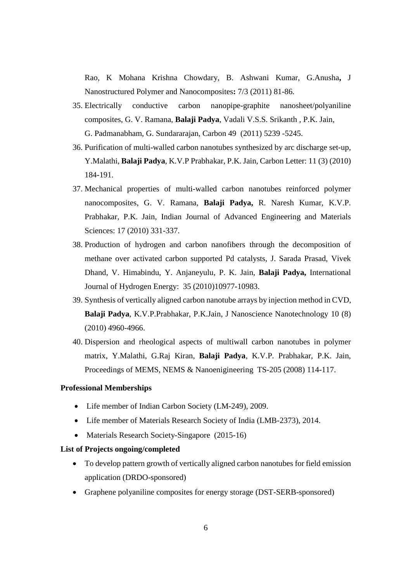Rao, K Mohana Krishna Chowdary, B. Ashwani Kumar, G.Anusha**,** J Nanostructured Polymer and Nanocomposites**:** 7/3 (2011) 81-86.

- 35. Electrically conductive carbon nanopipe-graphite nanosheet/polyaniline composites, G. V. Ramana, **Balaji Padya**, Vadali V.S.S. Srikanth , P.K. Jain, G. Padmanabham, G. Sundararajan, Carbon 49 (2011) 5239 -5245.
- 36. Purification of multi-walled carbon nanotubes synthesized by arc discharge set-up, Y.Malathi, **Balaji Padya**, K.V.P Prabhakar, P.K. Jain, Carbon Letter: 11 (3) (2010) 184-191.
- 37. Mechanical properties of multi-walled carbon nanotubes reinforced polymer nanocomposites, G. V. Ramana, **Balaji Padya,** R. Naresh Kumar, K.V.P. Prabhakar, P.K. Jain, Indian Journal of Advanced Engineering and Materials Sciences: 17 (2010) 331-337.
- 38. Production of hydrogen and carbon nanofibers through the decomposition of methane over activated carbon supported Pd catalysts, J. Sarada Prasad, Vivek Dhand, V. Himabindu, Y. Anjaneyulu, P. K. Jain, **Balaji Padya,** International Journal of Hydrogen Energy: 35 (2010)10977-10983.
- 39. Synthesis of vertically aligned carbon nanotube arrays by injection method in CVD, **Balaji Padya**, K.V.P.Prabhakar, P.K.Jain, J Nanoscience Nanotechnology 10 (8) (2010) 4960-4966.
- 40. Dispersion and rheological aspects of multiwall carbon nanotubes in polymer matrix, Y.Malathi, G.Raj Kiran, **Balaji Padya**, K.V.P. Prabhakar, P.K. Jain, Proceedings of MEMS, NEMS & Nanoenigineering TS-205 (2008) 114-117.

#### **Professional Memberships**

- Life member of Indian Carbon Society (LM-249), 2009.
- Life member of Materials Research Society of India (LMB-2373), 2014.
- Materials Research Society-Singapore (2015-16)

#### **List of Projects ongoing/completed**

- To develop pattern growth of vertically aligned carbon nanotubes for field emission application (DRDO-sponsored)
- Graphene polyaniline composites for energy storage (DST-SERB-sponsored)